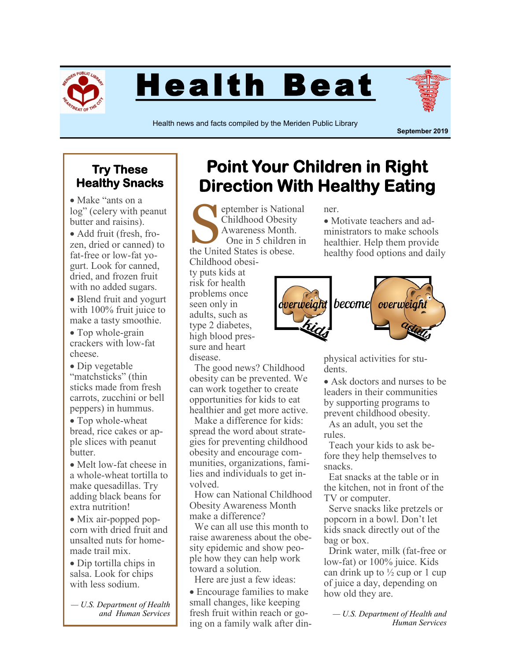

Health Beat



Health news and facts compiled by the Meriden Public Library

**September 2019**

## **Try These Healthy Snacks**

• Make "ants on a log" (celery with peanut butter and raisins).

• Add fruit (fresh, frozen, dried or canned) to fat-free or low-fat yogurt. Look for canned, dried, and frozen fruit with no added sugars.

• Blend fruit and yogurt with 100% fruit juice to make a tasty smoothie.

• Top whole-grain crackers with low-fat cheese.

 Dip vegetable "matchsticks" (thin sticks made from fresh carrots, zucchini or bell peppers) in hummus.

• Top whole-wheat bread, rice cakes or apple slices with peanut butter.

• Melt low-fat cheese in a whole-wheat tortilla to make quesadillas. Try adding black beans for extra nutrition!

• Mix air-popped popcorn with dried fruit and unsalted nuts for homemade trail mix.

 Dip tortilla chips in salsa. Look for chips with less sodium.

*— U.S. Department of Health and Human Services*

## **Point Your Children in Right Direction With Healthy Eating**

Superinted States is Nation<br>
Schildhood Obesity<br>
Awareness Month.<br>
One in 5 children<br>
the United States is obese. eptember is National Childhood Obesity Awareness Month. One in 5 children in

Childhood obesity puts kids at risk for health problems once seen only in adults, such as type 2 diabetes, high blood pressure and heart disease.

 The good news? Childhood obesity can be prevented. We can work together to create opportunities for kids to eat healthier and get more active.

 Make a difference for kids: spread the word about strategies for preventing childhood obesity and encourage communities, organizations, families and individuals to get involved.

 How can National Childhood Obesity Awareness Month make a difference?

 We can all use this month to raise awareness about the obesity epidemic and show people how they can help work toward a solution.

 Here are just a few ideas: Encourage families to make small changes, like keeping fresh fruit within reach or going on a family walk after din-

ner.

• Motivate teachers and administrators to make schools healthier. Help them provide healthy food options and daily



physical activities for students.

• Ask doctors and nurses to be leaders in their communities by supporting programs to prevent childhood obesity.

 As an adult, you set the rules.

 Teach your kids to ask before they help themselves to snacks.

 Eat snacks at the table or in the kitchen, not in front of the TV or computer.

 Serve snacks like pretzels or popcorn in a bowl. Don't let kids snack directly out of the bag or box.

 Drink water, milk (fat-free or low-fat) or 100% juice. Kids can drink up to  $\frac{1}{2}$  cup or 1 cup of juice a day, depending on how old they are.

*— U.S. Department of Health and Human Services*